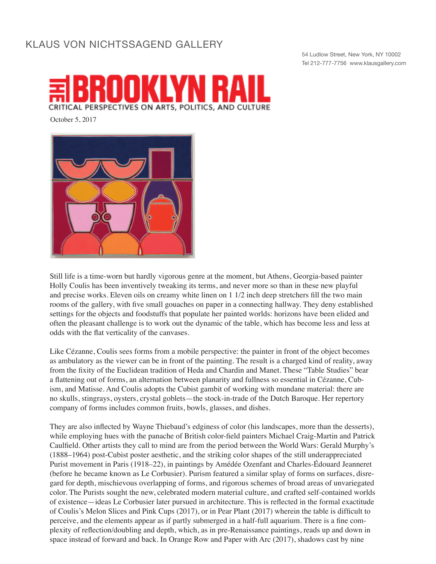## KLAUS VON NICHTSSAGEND GALLERY

54 Ludlow Street, New York, NY 10002 Tel 212-777-7756 www.klausgallery.com



October 5, 2017



Still life is a time-worn but hardly vigorous genre at the moment, but Athens, Georgia-based painter Holly Coulis has been inventively tweaking its terms, and never more so than in these new playful and precise works. Eleven oils on creamy white linen on 1 1/2 inch deep stretchers fill the two main rooms of the gallery, with five small gouaches on paper in a connecting hallway. They deny established settings for the objects and foodstuffs that populate her painted worlds: horizons have been elided and often the pleasant challenge is to work out the dynamic of the table, which has become less and less at odds with the flat verticality of the canvases.

Like Cézanne, Coulis sees forms from a mobile perspective: the painter in front of the object becomes as ambulatory as the viewer can be in front of the painting. The result is a charged kind of reality, away from the fixity of the Euclidean tradition of Heda and Chardin and Manet. These "Table Studies" bear a flattening out of forms, an alternation between planarity and fullness so essential in Cézanne, Cubism, and Matisse. And Coulis adopts the Cubist gambit of working with mundane material: there are no skulls, stingrays, oysters, crystal goblets—the stock-in-trade of the Dutch Baroque. Her repertory company of forms includes common fruits, bowls, glasses, and dishes.

They are also inflected by Wayne Thiebaud's edginess of color (his landscapes, more than the desserts), while employing hues with the panache of British color-field painters Michael Craig-Martin and Patrick Caulfield. Other artists they call to mind are from the period between the World Wars: Gerald Murphy's (1888–1964) post-Cubist poster aesthetic, and the striking color shapes of the still underappreciated Purist movement in Paris (1918–22), in paintings by Amédée Ozenfant and Charles-Édouard Jeanneret (before he became known as Le Corbusier). Purism featured a similar splay of forms on surfaces, disregard for depth, mischievous overlapping of forms, and rigorous schemes of broad areas of unvariegated color. The Purists sought the new, celebrated modern material culture, and crafted self-contained worlds of existence—ideas Le Corbusier later pursued in architecture. This is reflected in the formal exactitude of Coulis's Melon Slices and Pink Cups (2017), or in Pear Plant (2017) wherein the table is difficult to perceive, and the elements appear as if partly submerged in a half-full aquarium. There is a fine complexity of reflection/doubling and depth, which, as in pre-Renaissance paintings, reads up and down in space instead of forward and back. In Orange Row and Paper with Arc (2017), shadows cast by nine